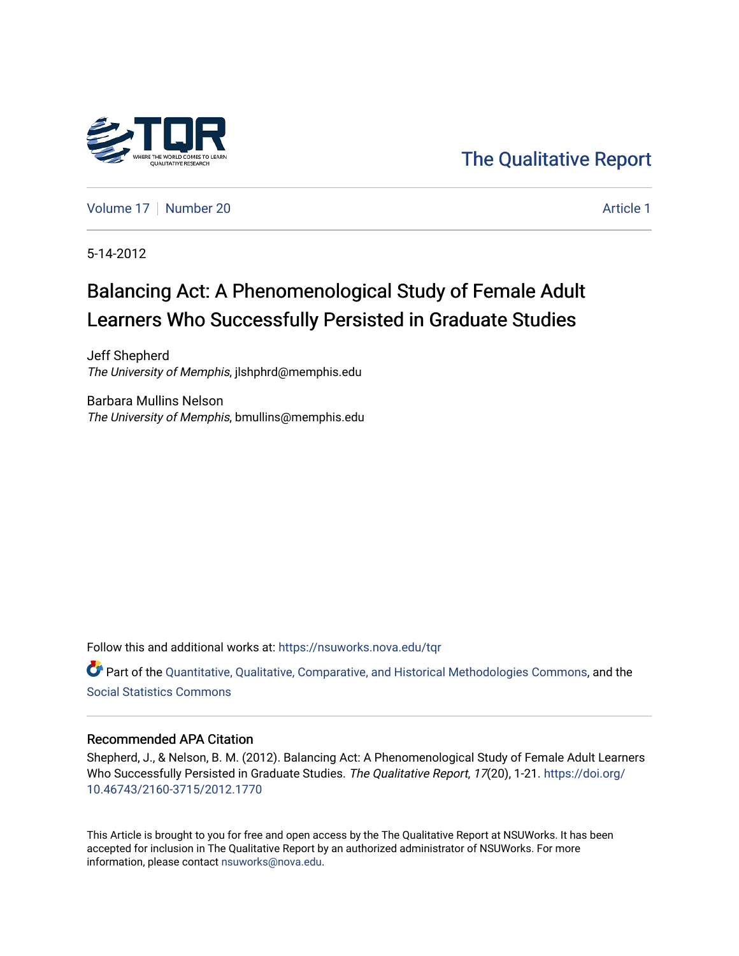

[The Qualitative Report](https://nsuworks.nova.edu/tqr) 

[Volume 17](https://nsuworks.nova.edu/tqr/vol17) [Number 20](https://nsuworks.nova.edu/tqr/vol17/iss20) Article 1

5-14-2012

# Balancing Act: A Phenomenological Study of Female Adult Learners Who Successfully Persisted in Graduate Studies

Jeff Shepherd The University of Memphis, jlshphrd@memphis.edu

Barbara Mullins Nelson The University of Memphis, bmullins@memphis.edu

Follow this and additional works at: [https://nsuworks.nova.edu/tqr](https://nsuworks.nova.edu/tqr?utm_source=nsuworks.nova.edu%2Ftqr%2Fvol17%2Fiss20%2F1&utm_medium=PDF&utm_campaign=PDFCoverPages) 

Part of the [Quantitative, Qualitative, Comparative, and Historical Methodologies Commons,](http://network.bepress.com/hgg/discipline/423?utm_source=nsuworks.nova.edu%2Ftqr%2Fvol17%2Fiss20%2F1&utm_medium=PDF&utm_campaign=PDFCoverPages) and the [Social Statistics Commons](http://network.bepress.com/hgg/discipline/1275?utm_source=nsuworks.nova.edu%2Ftqr%2Fvol17%2Fiss20%2F1&utm_medium=PDF&utm_campaign=PDFCoverPages) 

## Recommended APA Citation

Shepherd, J., & Nelson, B. M. (2012). Balancing Act: A Phenomenological Study of Female Adult Learners Who Successfully Persisted in Graduate Studies. The Qualitative Report, 17(20), 1-21. [https://doi.org/](https://doi.org/10.46743/2160-3715/2012.1770) [10.46743/2160-3715/2012.1770](https://doi.org/10.46743/2160-3715/2012.1770)

This Article is brought to you for free and open access by the The Qualitative Report at NSUWorks. It has been accepted for inclusion in The Qualitative Report by an authorized administrator of NSUWorks. For more information, please contact [nsuworks@nova.edu.](mailto:nsuworks@nova.edu)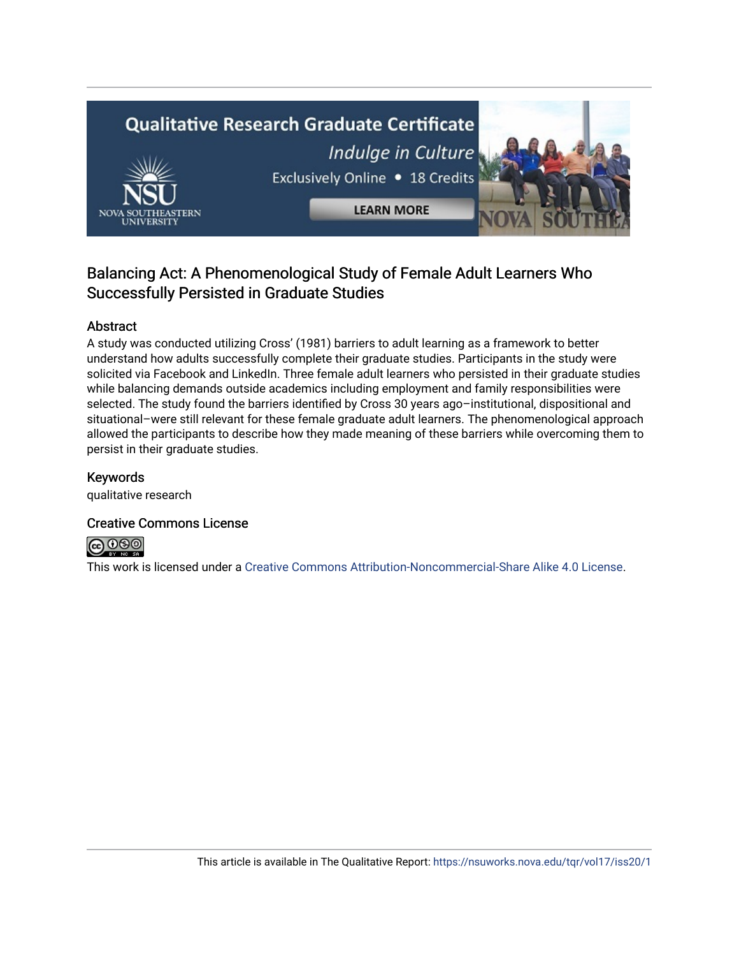

# Balancing Act: A Phenomenological Study of Female Adult Learners Who Successfully Persisted in Graduate Studies

# Abstract

A study was conducted utilizing Cross' (1981) barriers to adult learning as a framework to better understand how adults successfully complete their graduate studies. Participants in the study were solicited via Facebook and LinkedIn. Three female adult learners who persisted in their graduate studies while balancing demands outside academics including employment and family responsibilities were selected. The study found the barriers identified by Cross 30 years ago–institutional, dispositional and situational–were still relevant for these female graduate adult learners. The phenomenological approach allowed the participants to describe how they made meaning of these barriers while overcoming them to persist in their graduate studies.

## Keywords

qualitative research

## Creative Commons License



This work is licensed under a [Creative Commons Attribution-Noncommercial-Share Alike 4.0 License](https://creativecommons.org/licenses/by-nc-sa/4.0/).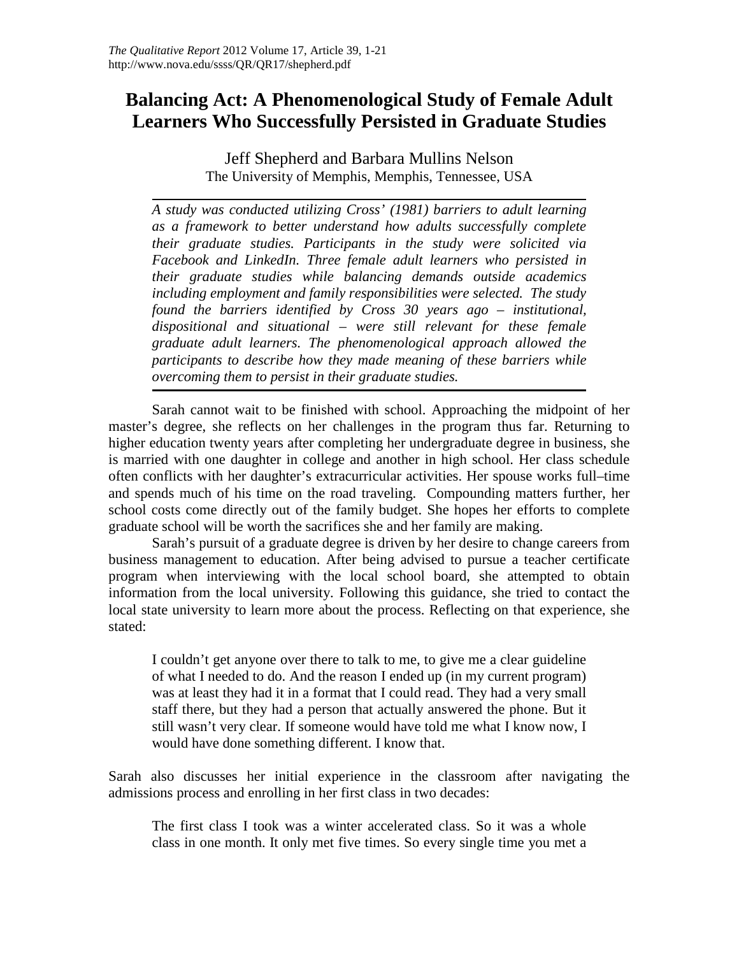# **Balancing Act: A Phenomenological Study of Female Adult Learners Who Successfully Persisted in Graduate Studies**

Jeff Shepherd and Barbara Mullins Nelson The University of Memphis, Memphis, Tennessee, USA

*A study was conducted utilizing Cross' (1981) barriers to adult learning as a framework to better understand how adults successfully complete their graduate studies. Participants in the study were solicited via Facebook and LinkedIn. Three female adult learners who persisted in their graduate studies while balancing demands outside academics including employment and family responsibilities were selected. The study found the barriers identified by Cross 30 years ago – institutional, dispositional and situational – were still relevant for these female graduate adult learners. The phenomenological approach allowed the participants to describe how they made meaning of these barriers while overcoming them to persist in their graduate studies.* 

Sarah cannot wait to be finished with school. Approaching the midpoint of her master's degree, she reflects on her challenges in the program thus far. Returning to higher education twenty years after completing her undergraduate degree in business, she is married with one daughter in college and another in high school. Her class schedule often conflicts with her daughter's extracurricular activities. Her spouse works full–time and spends much of his time on the road traveling. Compounding matters further, her school costs come directly out of the family budget. She hopes her efforts to complete graduate school will be worth the sacrifices she and her family are making.

Sarah's pursuit of a graduate degree is driven by her desire to change careers from business management to education. After being advised to pursue a teacher certificate program when interviewing with the local school board, she attempted to obtain information from the local university. Following this guidance, she tried to contact the local state university to learn more about the process. Reflecting on that experience, she stated:

I couldn't get anyone over there to talk to me, to give me a clear guideline of what I needed to do. And the reason I ended up (in my current program) was at least they had it in a format that I could read. They had a very small staff there, but they had a person that actually answered the phone. But it still wasn't very clear. If someone would have told me what I know now, I would have done something different. I know that.

Sarah also discusses her initial experience in the classroom after navigating the admissions process and enrolling in her first class in two decades:

The first class I took was a winter accelerated class. So it was a whole class in one month. It only met five times. So every single time you met a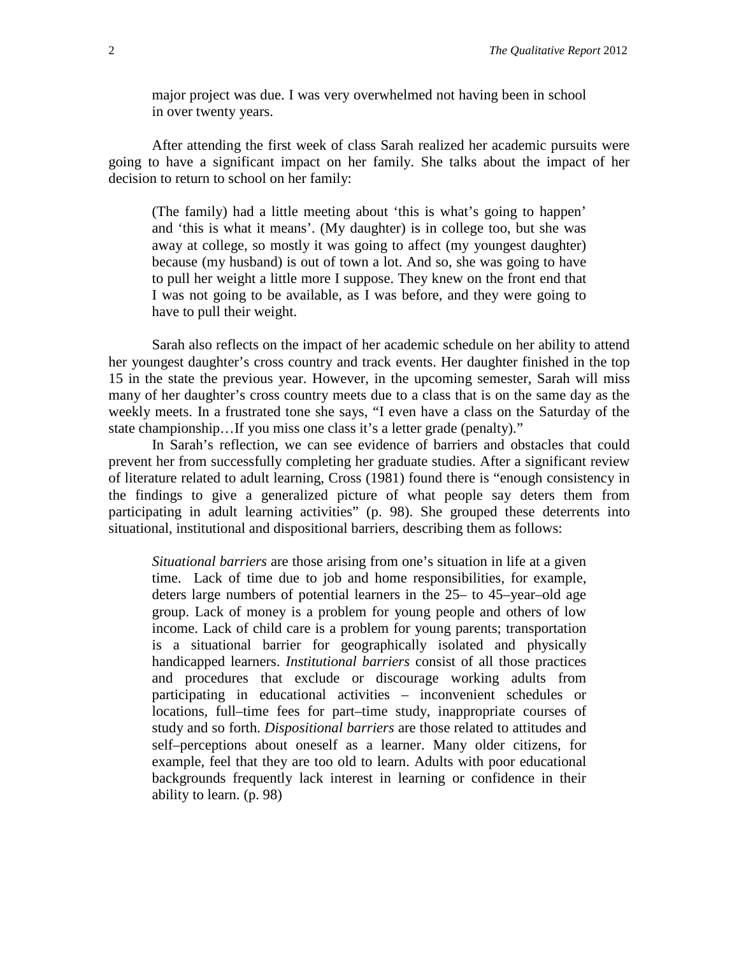major project was due. I was very overwhelmed not having been in school in over twenty years.

After attending the first week of class Sarah realized her academic pursuits were going to have a significant impact on her family. She talks about the impact of her decision to return to school on her family:

(The family) had a little meeting about 'this is what's going to happen' and 'this is what it means'. (My daughter) is in college too, but she was away at college, so mostly it was going to affect (my youngest daughter) because (my husband) is out of town a lot. And so, she was going to have to pull her weight a little more I suppose. They knew on the front end that I was not going to be available, as I was before, and they were going to have to pull their weight.

Sarah also reflects on the impact of her academic schedule on her ability to attend her youngest daughter's cross country and track events. Her daughter finished in the top 15 in the state the previous year. However, in the upcoming semester, Sarah will miss many of her daughter's cross country meets due to a class that is on the same day as the weekly meets. In a frustrated tone she says, "I even have a class on the Saturday of the state championship...If you miss one class it's a letter grade (penalty)."

In Sarah's reflection, we can see evidence of barriers and obstacles that could prevent her from successfully completing her graduate studies. After a significant review of literature related to adult learning, Cross (1981) found there is "enough consistency in the findings to give a generalized picture of what people say deters them from participating in adult learning activities" (p. 98). She grouped these deterrents into situational, institutional and dispositional barriers, describing them as follows:

*Situational barriers* are those arising from one's situation in life at a given time. Lack of time due to job and home responsibilities, for example, deters large numbers of potential learners in the 25– to 45–year–old age group. Lack of money is a problem for young people and others of low income. Lack of child care is a problem for young parents; transportation is a situational barrier for geographically isolated and physically handicapped learners. *Institutional barriers* consist of all those practices and procedures that exclude or discourage working adults from participating in educational activities – inconvenient schedules or locations, full–time fees for part–time study, inappropriate courses of study and so forth. *Dispositional barriers* are those related to attitudes and self–perceptions about oneself as a learner. Many older citizens, for example, feel that they are too old to learn. Adults with poor educational backgrounds frequently lack interest in learning or confidence in their ability to learn. (p. 98)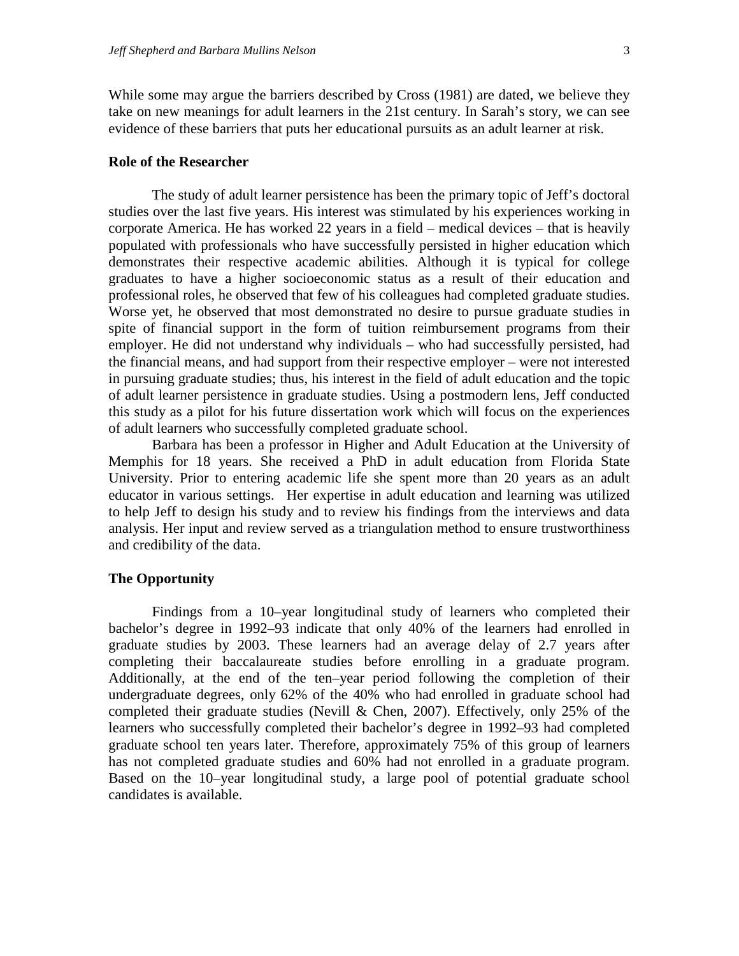While some may argue the barriers described by Cross (1981) are dated, we believe they take on new meanings for adult learners in the 21st century. In Sarah's story, we can see evidence of these barriers that puts her educational pursuits as an adult learner at risk.

#### **Role of the Researcher**

The study of adult learner persistence has been the primary topic of Jeff's doctoral studies over the last five years. His interest was stimulated by his experiences working in corporate America. He has worked 22 years in a field – medical devices – that is heavily populated with professionals who have successfully persisted in higher education which demonstrates their respective academic abilities. Although it is typical for college graduates to have a higher socioeconomic status as a result of their education and professional roles, he observed that few of his colleagues had completed graduate studies. Worse yet, he observed that most demonstrated no desire to pursue graduate studies in spite of financial support in the form of tuition reimbursement programs from their employer. He did not understand why individuals – who had successfully persisted, had the financial means, and had support from their respective employer – were not interested in pursuing graduate studies; thus, his interest in the field of adult education and the topic of adult learner persistence in graduate studies. Using a postmodern lens, Jeff conducted this study as a pilot for his future dissertation work which will focus on the experiences of adult learners who successfully completed graduate school.

Barbara has been a professor in Higher and Adult Education at the University of Memphis for 18 years. She received a PhD in adult education from Florida State University. Prior to entering academic life she spent more than 20 years as an adult educator in various settings. Her expertise in adult education and learning was utilized to help Jeff to design his study and to review his findings from the interviews and data analysis. Her input and review served as a triangulation method to ensure trustworthiness and credibility of the data.

#### **The Opportunity**

Findings from a 10–year longitudinal study of learners who completed their bachelor's degree in 1992–93 indicate that only 40% of the learners had enrolled in graduate studies by 2003. These learners had an average delay of 2.7 years after completing their baccalaureate studies before enrolling in a graduate program. Additionally, at the end of the ten–year period following the completion of their undergraduate degrees, only 62% of the 40% who had enrolled in graduate school had completed their graduate studies (Nevill & Chen, 2007). Effectively, only 25% of the learners who successfully completed their bachelor's degree in 1992–93 had completed graduate school ten years later. Therefore, approximately 75% of this group of learners has not completed graduate studies and 60% had not enrolled in a graduate program. Based on the 10–year longitudinal study, a large pool of potential graduate school candidates is available.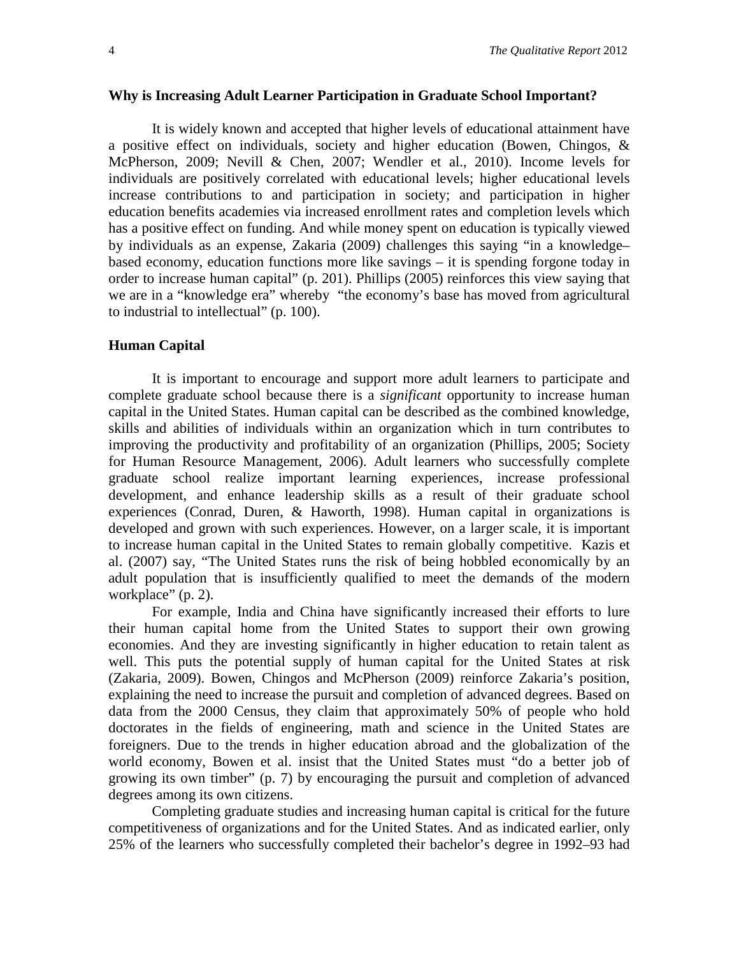#### **Why is Increasing Adult Learner Participation in Graduate School Important?**

It is widely known and accepted that higher levels of educational attainment have a positive effect on individuals, society and higher education (Bowen, Chingos, & McPherson, 2009; Nevill & Chen, 2007; Wendler et al., 2010). Income levels for individuals are positively correlated with educational levels; higher educational levels increase contributions to and participation in society; and participation in higher education benefits academies via increased enrollment rates and completion levels which has a positive effect on funding. And while money spent on education is typically viewed by individuals as an expense, Zakaria (2009) challenges this saying "in a knowledge– based economy, education functions more like savings – it is spending forgone today in order to increase human capital" (p. 201). Phillips (2005) reinforces this view saying that we are in a "knowledge era" whereby "the economy's base has moved from agricultural to industrial to intellectual" (p. 100).

#### **Human Capital**

It is important to encourage and support more adult learners to participate and complete graduate school because there is a *significant* opportunity to increase human capital in the United States. Human capital can be described as the combined knowledge, skills and abilities of individuals within an organization which in turn contributes to improving the productivity and profitability of an organization (Phillips, 2005; Society for Human Resource Management, 2006). Adult learners who successfully complete graduate school realize important learning experiences, increase professional development, and enhance leadership skills as a result of their graduate school experiences (Conrad, Duren, & Haworth, 1998). Human capital in organizations is developed and grown with such experiences. However, on a larger scale, it is important to increase human capital in the United States to remain globally competitive. Kazis et al. (2007) say, "The United States runs the risk of being hobbled economically by an adult population that is insufficiently qualified to meet the demands of the modern workplace" (p. 2).

For example, India and China have significantly increased their efforts to lure their human capital home from the United States to support their own growing economies. And they are investing significantly in higher education to retain talent as well. This puts the potential supply of human capital for the United States at risk (Zakaria, 2009). Bowen, Chingos and McPherson (2009) reinforce Zakaria's position, explaining the need to increase the pursuit and completion of advanced degrees. Based on data from the 2000 Census, they claim that approximately 50% of people who hold doctorates in the fields of engineering, math and science in the United States are foreigners. Due to the trends in higher education abroad and the globalization of the world economy, Bowen et al. insist that the United States must "do a better job of growing its own timber" (p. 7) by encouraging the pursuit and completion of advanced degrees among its own citizens.

Completing graduate studies and increasing human capital is critical for the future competitiveness of organizations and for the United States. And as indicated earlier, only 25% of the learners who successfully completed their bachelor's degree in 1992–93 had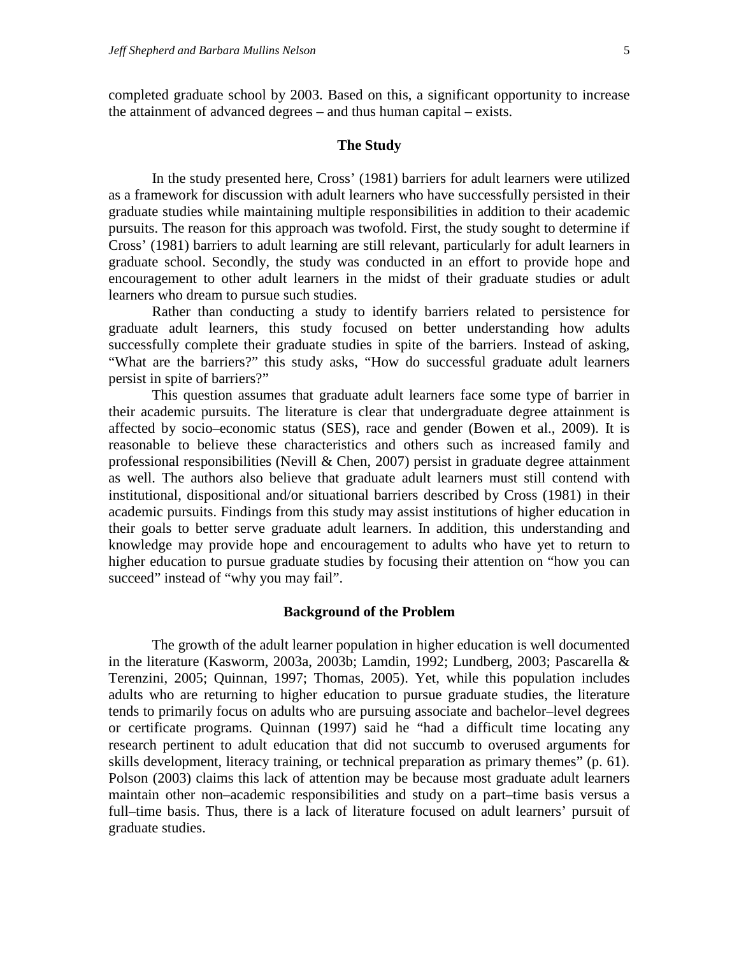completed graduate school by 2003. Based on this, a significant opportunity to increase the attainment of advanced degrees – and thus human capital – exists.

#### **The Study**

In the study presented here, Cross' (1981) barriers for adult learners were utilized as a framework for discussion with adult learners who have successfully persisted in their graduate studies while maintaining multiple responsibilities in addition to their academic pursuits. The reason for this approach was twofold. First, the study sought to determine if Cross' (1981) barriers to adult learning are still relevant, particularly for adult learners in graduate school. Secondly, the study was conducted in an effort to provide hope and encouragement to other adult learners in the midst of their graduate studies or adult learners who dream to pursue such studies.

Rather than conducting a study to identify barriers related to persistence for graduate adult learners, this study focused on better understanding how adults successfully complete their graduate studies in spite of the barriers. Instead of asking, "What are the barriers?" this study asks, "How do successful graduate adult learners persist in spite of barriers?"

This question assumes that graduate adult learners face some type of barrier in their academic pursuits. The literature is clear that undergraduate degree attainment is affected by socio–economic status (SES), race and gender (Bowen et al., 2009). It is reasonable to believe these characteristics and others such as increased family and professional responsibilities (Nevill  $& Chen, 2007$ ) persist in graduate degree attainment as well. The authors also believe that graduate adult learners must still contend with institutional, dispositional and/or situational barriers described by Cross (1981) in their academic pursuits. Findings from this study may assist institutions of higher education in their goals to better serve graduate adult learners. In addition, this understanding and knowledge may provide hope and encouragement to adults who have yet to return to higher education to pursue graduate studies by focusing their attention on "how you can succeed" instead of "why you may fail".

#### **Background of the Problem**

The growth of the adult learner population in higher education is well documented in the literature (Kasworm, 2003a, 2003b; Lamdin, 1992; Lundberg, 2003; Pascarella & Terenzini, 2005; Quinnan, 1997; Thomas, 2005). Yet, while this population includes adults who are returning to higher education to pursue graduate studies, the literature tends to primarily focus on adults who are pursuing associate and bachelor–level degrees or certificate programs. Quinnan (1997) said he "had a difficult time locating any research pertinent to adult education that did not succumb to overused arguments for skills development, literacy training, or technical preparation as primary themes" (p. 61). Polson (2003) claims this lack of attention may be because most graduate adult learners maintain other non–academic responsibilities and study on a part–time basis versus a full–time basis. Thus, there is a lack of literature focused on adult learners' pursuit of graduate studies.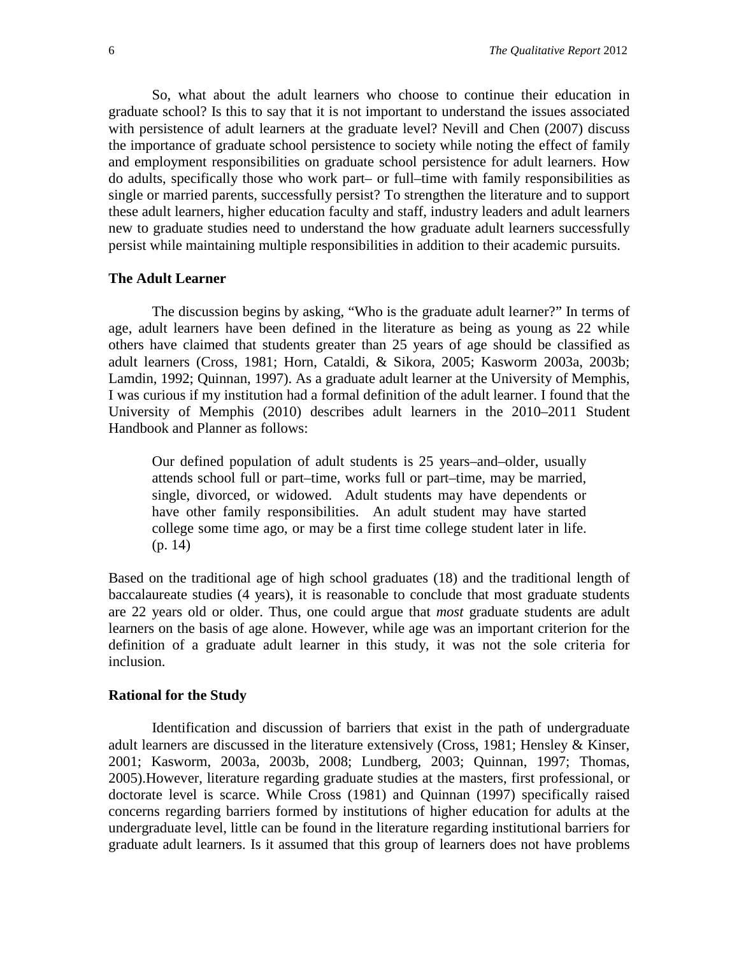So, what about the adult learners who choose to continue their education in graduate school? Is this to say that it is not important to understand the issues associated with persistence of adult learners at the graduate level? Nevill and Chen (2007) discuss the importance of graduate school persistence to society while noting the effect of family and employment responsibilities on graduate school persistence for adult learners. How do adults, specifically those who work part– or full–time with family responsibilities as single or married parents, successfully persist? To strengthen the literature and to support these adult learners, higher education faculty and staff, industry leaders and adult learners new to graduate studies need to understand the how graduate adult learners successfully persist while maintaining multiple responsibilities in addition to their academic pursuits.

#### **The Adult Learner**

The discussion begins by asking, "Who is the graduate adult learner?" In terms of age, adult learners have been defined in the literature as being as young as 22 while others have claimed that students greater than 25 years of age should be classified as adult learners (Cross, 1981; Horn, Cataldi, & Sikora, 2005; Kasworm 2003a, 2003b; Lamdin, 1992; Quinnan, 1997). As a graduate adult learner at the University of Memphis, I was curious if my institution had a formal definition of the adult learner. I found that the University of Memphis (2010) describes adult learners in the 2010–2011 Student Handbook and Planner as follows:

Our defined population of adult students is 25 years–and–older, usually attends school full or part–time, works full or part–time, may be married, single, divorced, or widowed. Adult students may have dependents or have other family responsibilities. An adult student may have started college some time ago, or may be a first time college student later in life. (p. 14)

Based on the traditional age of high school graduates (18) and the traditional length of baccalaureate studies (4 years), it is reasonable to conclude that most graduate students are 22 years old or older. Thus, one could argue that *most* graduate students are adult learners on the basis of age alone. However, while age was an important criterion for the definition of a graduate adult learner in this study, it was not the sole criteria for inclusion.

#### **Rational for the Study**

Identification and discussion of barriers that exist in the path of undergraduate adult learners are discussed in the literature extensively (Cross, 1981; Hensley & Kinser, 2001; Kasworm, 2003a, 2003b, 2008; Lundberg, 2003; Quinnan, 1997; Thomas, 2005).However, literature regarding graduate studies at the masters, first professional, or doctorate level is scarce. While Cross (1981) and Quinnan (1997) specifically raised concerns regarding barriers formed by institutions of higher education for adults at the undergraduate level, little can be found in the literature regarding institutional barriers for graduate adult learners. Is it assumed that this group of learners does not have problems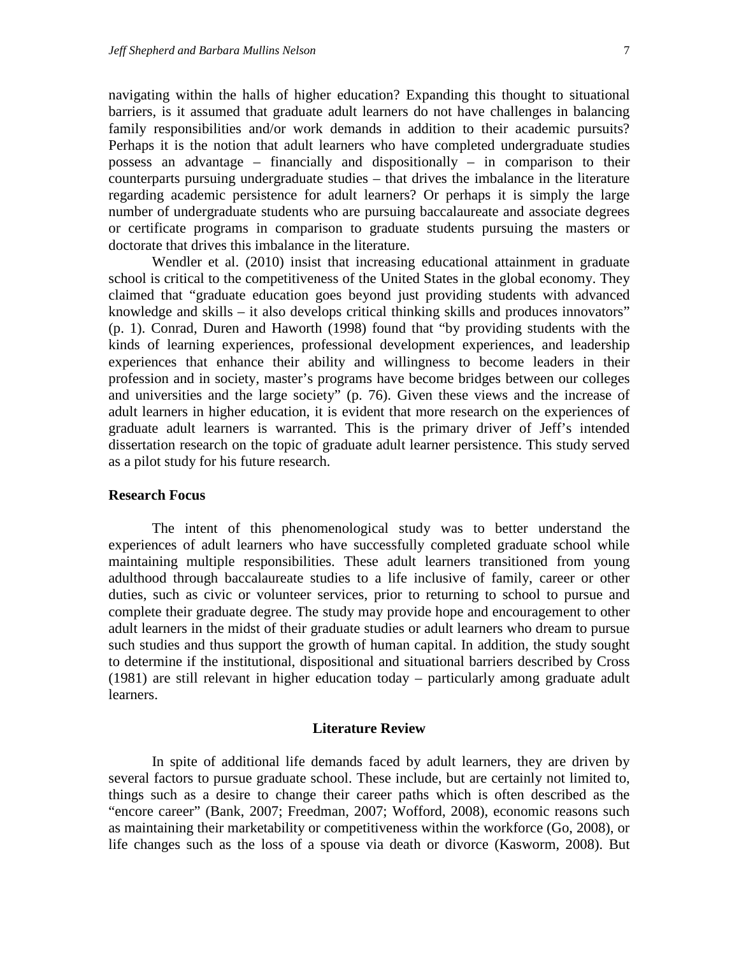navigating within the halls of higher education? Expanding this thought to situational barriers, is it assumed that graduate adult learners do not have challenges in balancing family responsibilities and/or work demands in addition to their academic pursuits? Perhaps it is the notion that adult learners who have completed undergraduate studies possess an advantage – financially and dispositionally – in comparison to their counterparts pursuing undergraduate studies – that drives the imbalance in the literature regarding academic persistence for adult learners? Or perhaps it is simply the large number of undergraduate students who are pursuing baccalaureate and associate degrees or certificate programs in comparison to graduate students pursuing the masters or doctorate that drives this imbalance in the literature.

Wendler et al. (2010) insist that increasing educational attainment in graduate school is critical to the competitiveness of the United States in the global economy. They claimed that "graduate education goes beyond just providing students with advanced knowledge and skills – it also develops critical thinking skills and produces innovators" (p. 1). Conrad, Duren and Haworth (1998) found that "by providing students with the kinds of learning experiences, professional development experiences, and leadership experiences that enhance their ability and willingness to become leaders in their profession and in society, master's programs have become bridges between our colleges and universities and the large society" (p. 76). Given these views and the increase of adult learners in higher education, it is evident that more research on the experiences of graduate adult learners is warranted. This is the primary driver of Jeff's intended dissertation research on the topic of graduate adult learner persistence. This study served as a pilot study for his future research.

#### **Research Focus**

The intent of this phenomenological study was to better understand the experiences of adult learners who have successfully completed graduate school while maintaining multiple responsibilities. These adult learners transitioned from young adulthood through baccalaureate studies to a life inclusive of family, career or other duties, such as civic or volunteer services, prior to returning to school to pursue and complete their graduate degree. The study may provide hope and encouragement to other adult learners in the midst of their graduate studies or adult learners who dream to pursue such studies and thus support the growth of human capital. In addition, the study sought to determine if the institutional, dispositional and situational barriers described by Cross (1981) are still relevant in higher education today – particularly among graduate adult learners.

#### **Literature Review**

In spite of additional life demands faced by adult learners, they are driven by several factors to pursue graduate school. These include, but are certainly not limited to, things such as a desire to change their career paths which is often described as the "encore career" (Bank, 2007; Freedman, 2007; Wofford, 2008), economic reasons such as maintaining their marketability or competitiveness within the workforce (Go, 2008), or life changes such as the loss of a spouse via death or divorce (Kasworm, 2008). But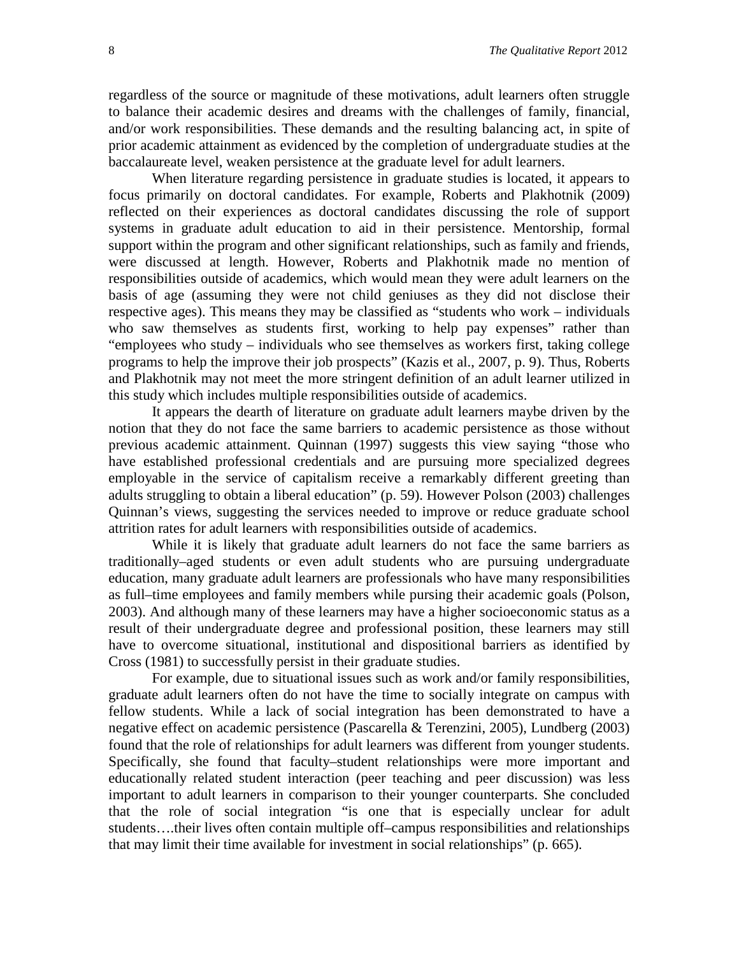regardless of the source or magnitude of these motivations, adult learners often struggle to balance their academic desires and dreams with the challenges of family, financial, and/or work responsibilities. These demands and the resulting balancing act, in spite of prior academic attainment as evidenced by the completion of undergraduate studies at the baccalaureate level, weaken persistence at the graduate level for adult learners.

When literature regarding persistence in graduate studies is located, it appears to focus primarily on doctoral candidates. For example, Roberts and Plakhotnik (2009) reflected on their experiences as doctoral candidates discussing the role of support systems in graduate adult education to aid in their persistence. Mentorship, formal support within the program and other significant relationships, such as family and friends, were discussed at length. However, Roberts and Plakhotnik made no mention of responsibilities outside of academics, which would mean they were adult learners on the basis of age (assuming they were not child geniuses as they did not disclose their respective ages). This means they may be classified as "students who work – individuals who saw themselves as students first, working to help pay expenses" rather than "employees who study – individuals who see themselves as workers first, taking college programs to help the improve their job prospects" (Kazis et al., 2007, p. 9). Thus, Roberts and Plakhotnik may not meet the more stringent definition of an adult learner utilized in this study which includes multiple responsibilities outside of academics.

It appears the dearth of literature on graduate adult learners maybe driven by the notion that they do not face the same barriers to academic persistence as those without previous academic attainment. Quinnan (1997) suggests this view saying "those who have established professional credentials and are pursuing more specialized degrees employable in the service of capitalism receive a remarkably different greeting than adults struggling to obtain a liberal education" (p. 59). However Polson (2003) challenges Quinnan's views, suggesting the services needed to improve or reduce graduate school attrition rates for adult learners with responsibilities outside of academics.

While it is likely that graduate adult learners do not face the same barriers as traditionally–aged students or even adult students who are pursuing undergraduate education, many graduate adult learners are professionals who have many responsibilities as full–time employees and family members while pursing their academic goals (Polson, 2003). And although many of these learners may have a higher socioeconomic status as a result of their undergraduate degree and professional position, these learners may still have to overcome situational, institutional and dispositional barriers as identified by Cross (1981) to successfully persist in their graduate studies.

For example, due to situational issues such as work and/or family responsibilities, graduate adult learners often do not have the time to socially integrate on campus with fellow students. While a lack of social integration has been demonstrated to have a negative effect on academic persistence (Pascarella & Terenzini, 2005), Lundberg (2003) found that the role of relationships for adult learners was different from younger students. Specifically, she found that faculty–student relationships were more important and educationally related student interaction (peer teaching and peer discussion) was less important to adult learners in comparison to their younger counterparts. She concluded that the role of social integration "is one that is especially unclear for adult students….their lives often contain multiple off–campus responsibilities and relationships that may limit their time available for investment in social relationships" (p. 665).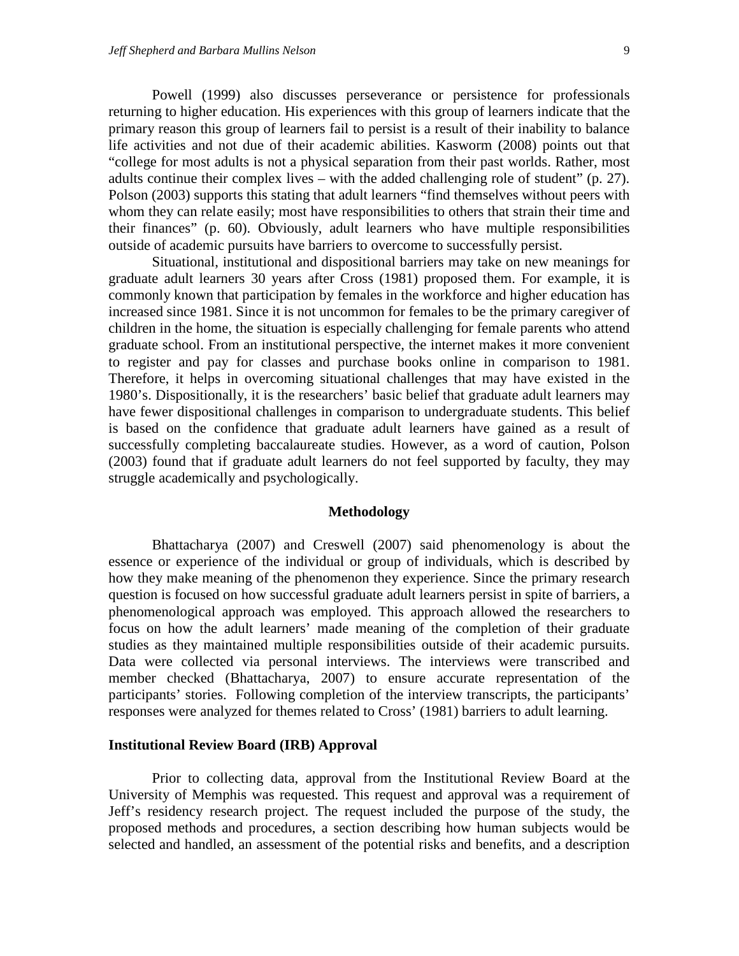Powell (1999) also discusses perseverance or persistence for professionals returning to higher education. His experiences with this group of learners indicate that the primary reason this group of learners fail to persist is a result of their inability to balance life activities and not due of their academic abilities. Kasworm (2008) points out that "college for most adults is not a physical separation from their past worlds. Rather, most adults continue their complex lives – with the added challenging role of student" (p. 27). Polson (2003) supports this stating that adult learners "find themselves without peers with whom they can relate easily; most have responsibilities to others that strain their time and their finances" (p. 60). Obviously, adult learners who have multiple responsibilities outside of academic pursuits have barriers to overcome to successfully persist.

Situational, institutional and dispositional barriers may take on new meanings for graduate adult learners 30 years after Cross (1981) proposed them. For example, it is commonly known that participation by females in the workforce and higher education has increased since 1981. Since it is not uncommon for females to be the primary caregiver of children in the home, the situation is especially challenging for female parents who attend graduate school. From an institutional perspective, the internet makes it more convenient to register and pay for classes and purchase books online in comparison to 1981. Therefore, it helps in overcoming situational challenges that may have existed in the 1980's. Dispositionally, it is the researchers' basic belief that graduate adult learners may have fewer dispositional challenges in comparison to undergraduate students. This belief is based on the confidence that graduate adult learners have gained as a result of successfully completing baccalaureate studies. However, as a word of caution, Polson (2003) found that if graduate adult learners do not feel supported by faculty, they may struggle academically and psychologically.

#### **Methodology**

Bhattacharya (2007) and Creswell (2007) said phenomenology is about the essence or experience of the individual or group of individuals, which is described by how they make meaning of the phenomenon they experience. Since the primary research question is focused on how successful graduate adult learners persist in spite of barriers, a phenomenological approach was employed. This approach allowed the researchers to focus on how the adult learners' made meaning of the completion of their graduate studies as they maintained multiple responsibilities outside of their academic pursuits. Data were collected via personal interviews. The interviews were transcribed and member checked (Bhattacharya, 2007) to ensure accurate representation of the participants' stories. Following completion of the interview transcripts, the participants' responses were analyzed for themes related to Cross' (1981) barriers to adult learning.

#### **Institutional Review Board (IRB) Approval**

Prior to collecting data, approval from the Institutional Review Board at the University of Memphis was requested. This request and approval was a requirement of Jeff's residency research project. The request included the purpose of the study, the proposed methods and procedures, a section describing how human subjects would be selected and handled, an assessment of the potential risks and benefits, and a description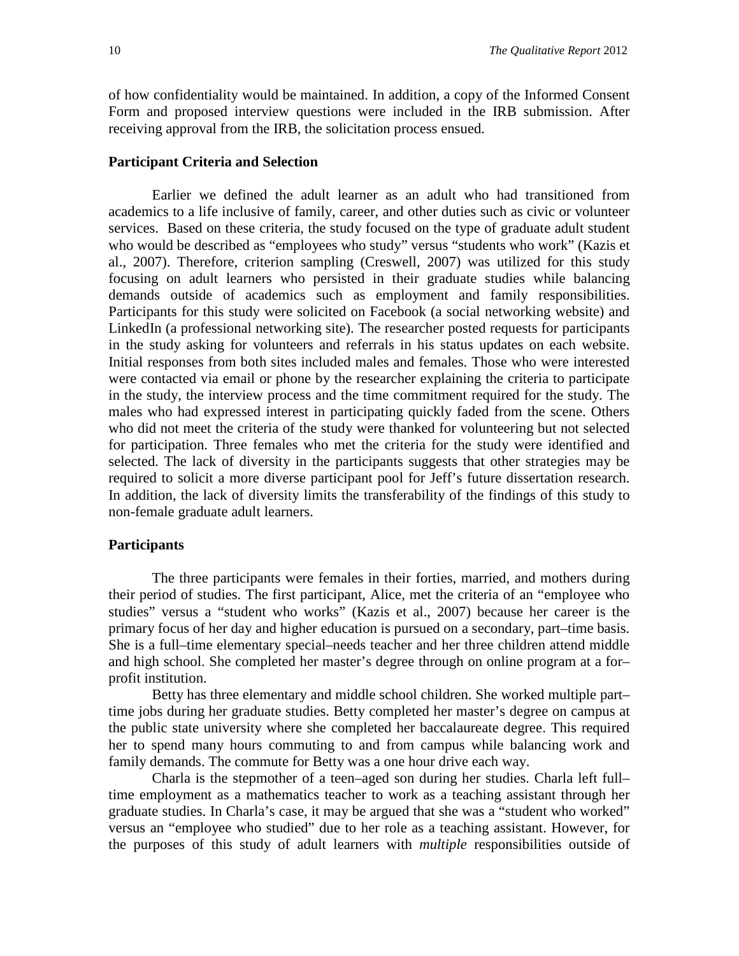of how confidentiality would be maintained. In addition, a copy of the Informed Consent Form and proposed interview questions were included in the IRB submission. After receiving approval from the IRB, the solicitation process ensued.

#### **Participant Criteria and Selection**

Earlier we defined the adult learner as an adult who had transitioned from academics to a life inclusive of family, career, and other duties such as civic or volunteer services. Based on these criteria, the study focused on the type of graduate adult student who would be described as "employees who study" versus "students who work" (Kazis et al., 2007). Therefore, criterion sampling (Creswell, 2007) was utilized for this study focusing on adult learners who persisted in their graduate studies while balancing demands outside of academics such as employment and family responsibilities. Participants for this study were solicited on Facebook (a social networking website) and LinkedIn (a professional networking site). The researcher posted requests for participants in the study asking for volunteers and referrals in his status updates on each website. Initial responses from both sites included males and females. Those who were interested were contacted via email or phone by the researcher explaining the criteria to participate in the study, the interview process and the time commitment required for the study. The males who had expressed interest in participating quickly faded from the scene. Others who did not meet the criteria of the study were thanked for volunteering but not selected for participation. Three females who met the criteria for the study were identified and selected. The lack of diversity in the participants suggests that other strategies may be required to solicit a more diverse participant pool for Jeff's future dissertation research. In addition, the lack of diversity limits the transferability of the findings of this study to non-female graduate adult learners.

#### **Participants**

The three participants were females in their forties, married, and mothers during their period of studies. The first participant, Alice, met the criteria of an "employee who studies" versus a "student who works" (Kazis et al., 2007) because her career is the primary focus of her day and higher education is pursued on a secondary, part–time basis. She is a full–time elementary special–needs teacher and her three children attend middle and high school. She completed her master's degree through on online program at a for– profit institution.

Betty has three elementary and middle school children. She worked multiple part– time jobs during her graduate studies. Betty completed her master's degree on campus at the public state university where she completed her baccalaureate degree. This required her to spend many hours commuting to and from campus while balancing work and family demands. The commute for Betty was a one hour drive each way.

Charla is the stepmother of a teen–aged son during her studies. Charla left full– time employment as a mathematics teacher to work as a teaching assistant through her graduate studies. In Charla's case, it may be argued that she was a "student who worked" versus an "employee who studied" due to her role as a teaching assistant. However, for the purposes of this study of adult learners with *multiple* responsibilities outside of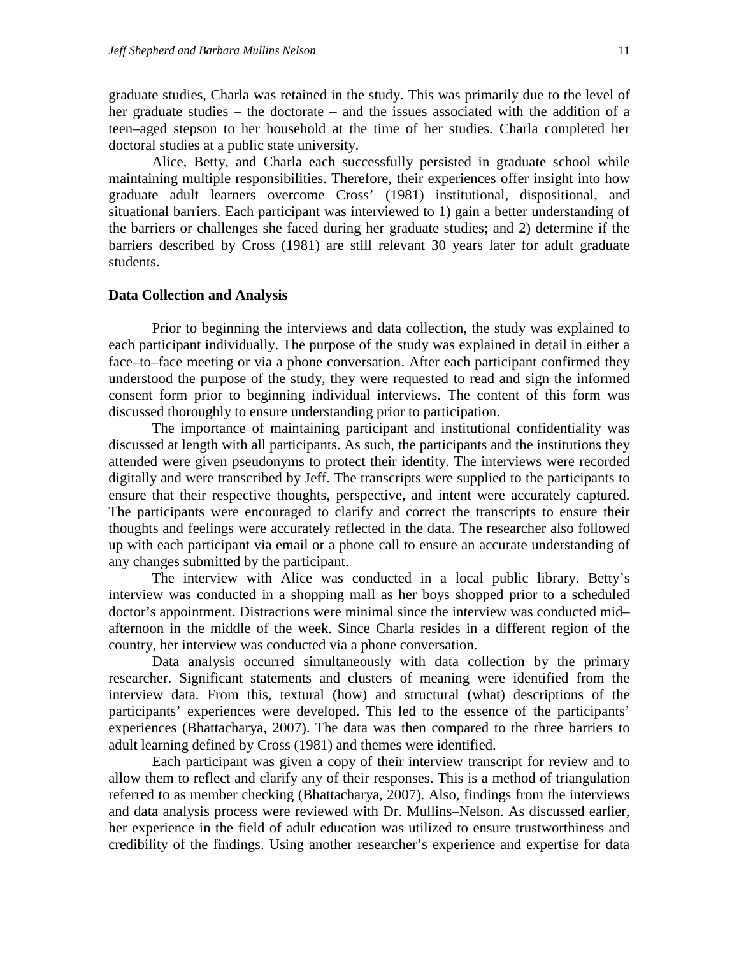graduate studies, Charla was retained in the study. This was primarily due to the level of her graduate studies – the doctorate – and the issues associated with the addition of a teen–aged stepson to her household at the time of her studies. Charla completed her doctoral studies at a public state university.

Alice, Betty, and Charla each successfully persisted in graduate school while maintaining multiple responsibilities. Therefore, their experiences offer insight into how graduate adult learners overcome Cross' (1981) institutional, dispositional, and situational barriers. Each participant was interviewed to 1) gain a better understanding of the barriers or challenges she faced during her graduate studies; and 2) determine if the barriers described by Cross (1981) are still relevant 30 years later for adult graduate students.

#### **Data Collection and Analysis**

Prior to beginning the interviews and data collection, the study was explained to each participant individually. The purpose of the study was explained in detail in either a face–to–face meeting or via a phone conversation. After each participant confirmed they understood the purpose of the study, they were requested to read and sign the informed consent form prior to beginning individual interviews. The content of this form was discussed thoroughly to ensure understanding prior to participation.

The importance of maintaining participant and institutional confidentiality was discussed at length with all participants. As such, the participants and the institutions they attended were given pseudonyms to protect their identity. The interviews were recorded digitally and were transcribed by Jeff. The transcripts were supplied to the participants to ensure that their respective thoughts, perspective, and intent were accurately captured. The participants were encouraged to clarify and correct the transcripts to ensure their thoughts and feelings were accurately reflected in the data. The researcher also followed up with each participant via email or a phone call to ensure an accurate understanding of any changes submitted by the participant.

The interview with Alice was conducted in a local public library. Betty's interview was conducted in a shopping mall as her boys shopped prior to a scheduled doctor's appointment. Distractions were minimal since the interview was conducted mid– afternoon in the middle of the week. Since Charla resides in a different region of the country, her interview was conducted via a phone conversation.

Data analysis occurred simultaneously with data collection by the primary researcher. Significant statements and clusters of meaning were identified from the interview data. From this, textural (how) and structural (what) descriptions of the participants' experiences were developed. This led to the essence of the participants' experiences (Bhattacharya, 2007). The data was then compared to the three barriers to adult learning defined by Cross (1981) and themes were identified.

Each participant was given a copy of their interview transcript for review and to allow them to reflect and clarify any of their responses. This is a method of triangulation referred to as member checking (Bhattacharya, 2007). Also, findings from the interviews and data analysis process were reviewed with Dr. Mullins–Nelson. As discussed earlier, her experience in the field of adult education was utilized to ensure trustworthiness and credibility of the findings. Using another researcher's experience and expertise for data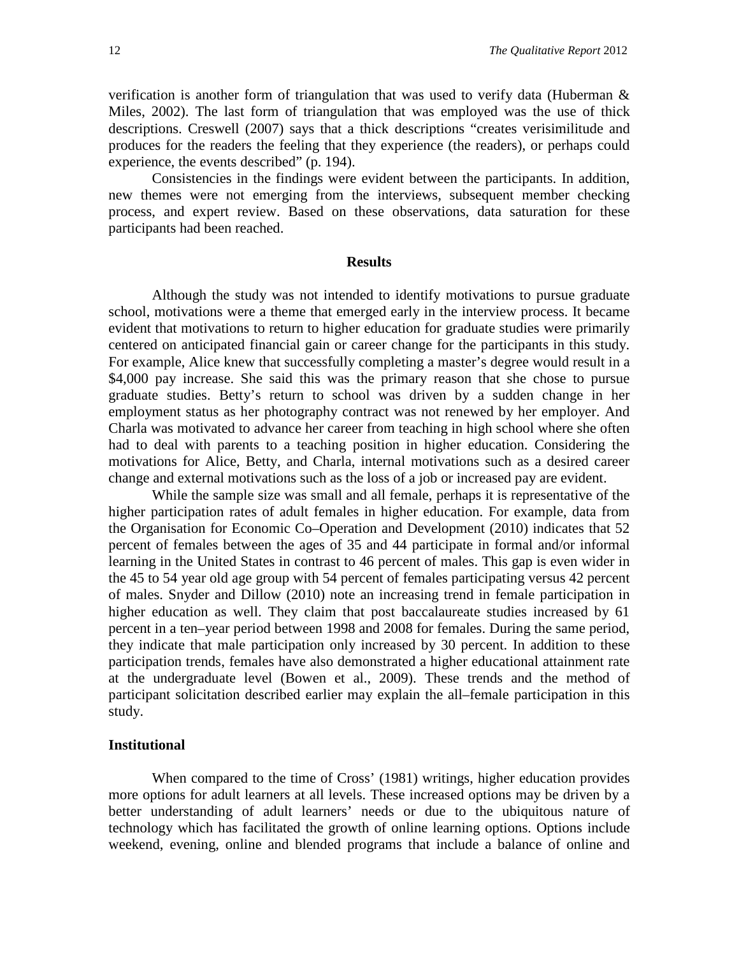verification is another form of triangulation that was used to verify data (Huberman & Miles, 2002). The last form of triangulation that was employed was the use of thick descriptions. Creswell (2007) says that a thick descriptions "creates verisimilitude and produces for the readers the feeling that they experience (the readers), or perhaps could experience, the events described" (p. 194).

Consistencies in the findings were evident between the participants. In addition, new themes were not emerging from the interviews, subsequent member checking process, and expert review. Based on these observations, data saturation for these participants had been reached.

#### **Results**

Although the study was not intended to identify motivations to pursue graduate school, motivations were a theme that emerged early in the interview process. It became evident that motivations to return to higher education for graduate studies were primarily centered on anticipated financial gain or career change for the participants in this study. For example, Alice knew that successfully completing a master's degree would result in a \$4,000 pay increase. She said this was the primary reason that she chose to pursue graduate studies. Betty's return to school was driven by a sudden change in her employment status as her photography contract was not renewed by her employer. And Charla was motivated to advance her career from teaching in high school where she often had to deal with parents to a teaching position in higher education. Considering the motivations for Alice, Betty, and Charla, internal motivations such as a desired career change and external motivations such as the loss of a job or increased pay are evident.

While the sample size was small and all female, perhaps it is representative of the higher participation rates of adult females in higher education. For example, data from the Organisation for Economic Co–Operation and Development (2010) indicates that 52 percent of females between the ages of 35 and 44 participate in formal and/or informal learning in the United States in contrast to 46 percent of males. This gap is even wider in the 45 to 54 year old age group with 54 percent of females participating versus 42 percent of males. Snyder and Dillow (2010) note an increasing trend in female participation in higher education as well. They claim that post baccalaureate studies increased by 61 percent in a ten–year period between 1998 and 2008 for females. During the same period, they indicate that male participation only increased by 30 percent. In addition to these participation trends, females have also demonstrated a higher educational attainment rate at the undergraduate level (Bowen et al., 2009). These trends and the method of participant solicitation described earlier may explain the all–female participation in this study.

#### **Institutional**

When compared to the time of Cross' (1981) writings, higher education provides more options for adult learners at all levels. These increased options may be driven by a better understanding of adult learners' needs or due to the ubiquitous nature of technology which has facilitated the growth of online learning options. Options include weekend, evening, online and blended programs that include a balance of online and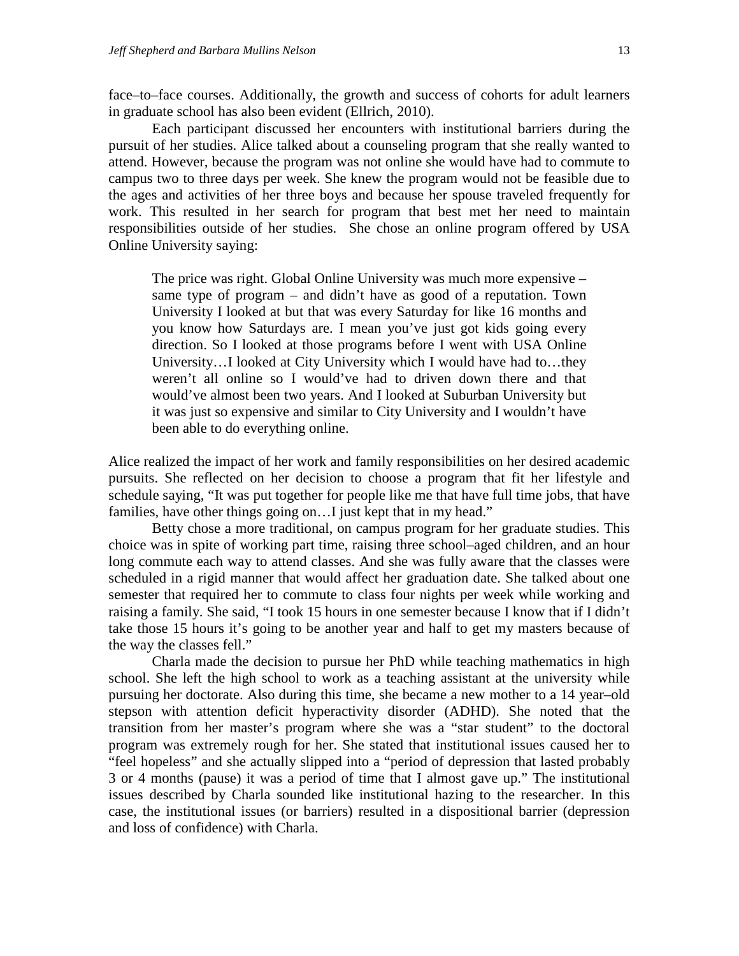face–to–face courses. Additionally, the growth and success of cohorts for adult learners in graduate school has also been evident (Ellrich, 2010).

Each participant discussed her encounters with institutional barriers during the pursuit of her studies. Alice talked about a counseling program that she really wanted to attend. However, because the program was not online she would have had to commute to campus two to three days per week. She knew the program would not be feasible due to the ages and activities of her three boys and because her spouse traveled frequently for work. This resulted in her search for program that best met her need to maintain responsibilities outside of her studies. She chose an online program offered by USA Online University saying:

The price was right. Global Online University was much more expensive – same type of program – and didn't have as good of a reputation. Town University I looked at but that was every Saturday for like 16 months and you know how Saturdays are. I mean you've just got kids going every direction. So I looked at those programs before I went with USA Online University…I looked at City University which I would have had to…they weren't all online so I would've had to driven down there and that would've almost been two years. And I looked at Suburban University but it was just so expensive and similar to City University and I wouldn't have been able to do everything online.

Alice realized the impact of her work and family responsibilities on her desired academic pursuits. She reflected on her decision to choose a program that fit her lifestyle and schedule saying, "It was put together for people like me that have full time jobs, that have families, have other things going on... I just kept that in my head."

Betty chose a more traditional, on campus program for her graduate studies. This choice was in spite of working part time, raising three school–aged children, and an hour long commute each way to attend classes. And she was fully aware that the classes were scheduled in a rigid manner that would affect her graduation date. She talked about one semester that required her to commute to class four nights per week while working and raising a family. She said, "I took 15 hours in one semester because I know that if I didn't take those 15 hours it's going to be another year and half to get my masters because of the way the classes fell."

Charla made the decision to pursue her PhD while teaching mathematics in high school. She left the high school to work as a teaching assistant at the university while pursuing her doctorate. Also during this time, she became a new mother to a 14 year–old stepson with attention deficit hyperactivity disorder (ADHD). She noted that the transition from her master's program where she was a "star student" to the doctoral program was extremely rough for her. She stated that institutional issues caused her to "feel hopeless" and she actually slipped into a "period of depression that lasted probably 3 or 4 months (pause) it was a period of time that I almost gave up." The institutional issues described by Charla sounded like institutional hazing to the researcher. In this case, the institutional issues (or barriers) resulted in a dispositional barrier (depression and loss of confidence) with Charla.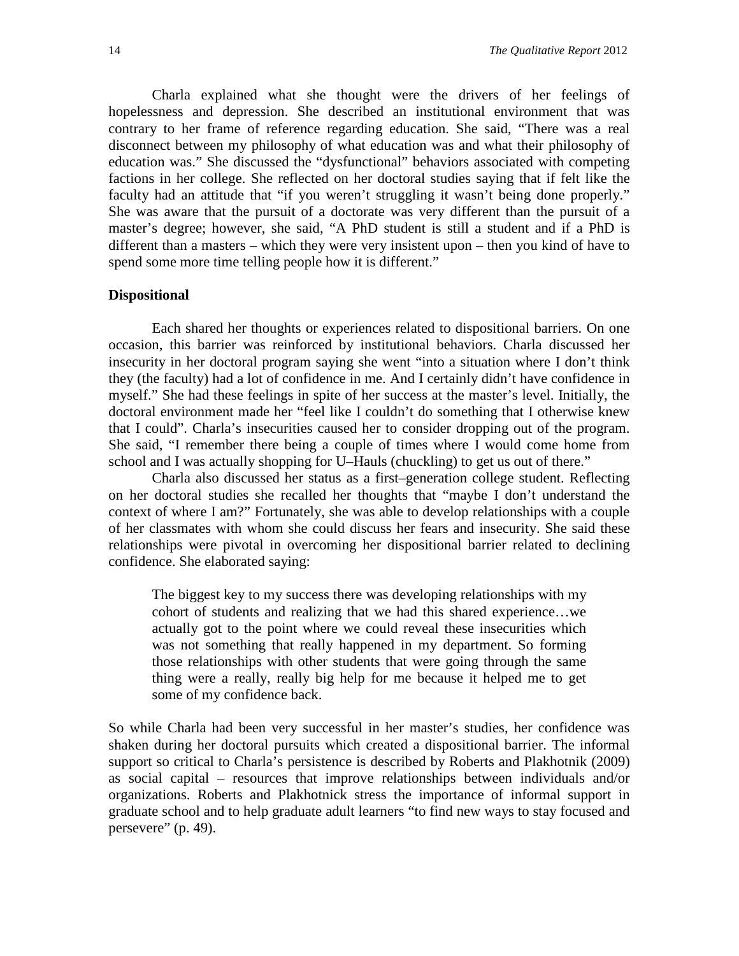Charla explained what she thought were the drivers of her feelings of hopelessness and depression. She described an institutional environment that was contrary to her frame of reference regarding education. She said, "There was a real disconnect between my philosophy of what education was and what their philosophy of education was." She discussed the "dysfunctional" behaviors associated with competing factions in her college. She reflected on her doctoral studies saying that if felt like the faculty had an attitude that "if you weren't struggling it wasn't being done properly." She was aware that the pursuit of a doctorate was very different than the pursuit of a master's degree; however, she said, "A PhD student is still a student and if a PhD is different than a masters – which they were very insistent upon – then you kind of have to spend some more time telling people how it is different."

#### **Dispositional**

Each shared her thoughts or experiences related to dispositional barriers. On one occasion, this barrier was reinforced by institutional behaviors. Charla discussed her insecurity in her doctoral program saying she went "into a situation where I don't think they (the faculty) had a lot of confidence in me. And I certainly didn't have confidence in myself." She had these feelings in spite of her success at the master's level. Initially, the doctoral environment made her "feel like I couldn't do something that I otherwise knew that I could". Charla's insecurities caused her to consider dropping out of the program. She said, "I remember there being a couple of times where I would come home from school and I was actually shopping for U–Hauls (chuckling) to get us out of there."

Charla also discussed her status as a first–generation college student. Reflecting on her doctoral studies she recalled her thoughts that "maybe I don't understand the context of where I am?" Fortunately, she was able to develop relationships with a couple of her classmates with whom she could discuss her fears and insecurity. She said these relationships were pivotal in overcoming her dispositional barrier related to declining confidence. She elaborated saying:

The biggest key to my success there was developing relationships with my cohort of students and realizing that we had this shared experience…we actually got to the point where we could reveal these insecurities which was not something that really happened in my department. So forming those relationships with other students that were going through the same thing were a really, really big help for me because it helped me to get some of my confidence back.

So while Charla had been very successful in her master's studies, her confidence was shaken during her doctoral pursuits which created a dispositional barrier. The informal support so critical to Charla's persistence is described by Roberts and Plakhotnik (2009) as social capital – resources that improve relationships between individuals and/or organizations. Roberts and Plakhotnick stress the importance of informal support in graduate school and to help graduate adult learners "to find new ways to stay focused and persevere" (p. 49).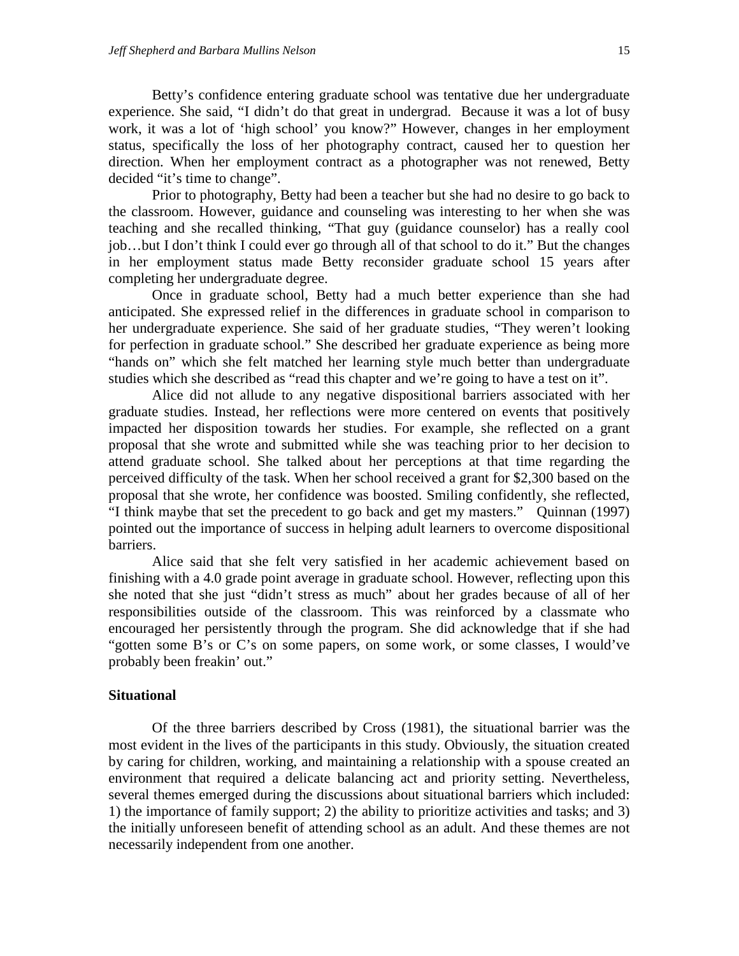Betty's confidence entering graduate school was tentative due her undergraduate experience. She said, "I didn't do that great in undergrad. Because it was a lot of busy work, it was a lot of 'high school' you know?" However, changes in her employment status, specifically the loss of her photography contract, caused her to question her direction. When her employment contract as a photographer was not renewed, Betty decided "it's time to change".

Prior to photography, Betty had been a teacher but she had no desire to go back to the classroom. However, guidance and counseling was interesting to her when she was teaching and she recalled thinking, "That guy (guidance counselor) has a really cool job…but I don't think I could ever go through all of that school to do it." But the changes in her employment status made Betty reconsider graduate school 15 years after completing her undergraduate degree.

Once in graduate school, Betty had a much better experience than she had anticipated. She expressed relief in the differences in graduate school in comparison to her undergraduate experience. She said of her graduate studies, "They weren't looking for perfection in graduate school." She described her graduate experience as being more "hands on" which she felt matched her learning style much better than undergraduate studies which she described as "read this chapter and we're going to have a test on it".

Alice did not allude to any negative dispositional barriers associated with her graduate studies. Instead, her reflections were more centered on events that positively impacted her disposition towards her studies. For example, she reflected on a grant proposal that she wrote and submitted while she was teaching prior to her decision to attend graduate school. She talked about her perceptions at that time regarding the perceived difficulty of the task. When her school received a grant for \$2,300 based on the proposal that she wrote, her confidence was boosted. Smiling confidently, she reflected, "I think maybe that set the precedent to go back and get my masters." Quinnan (1997) pointed out the importance of success in helping adult learners to overcome dispositional barriers.

Alice said that she felt very satisfied in her academic achievement based on finishing with a 4.0 grade point average in graduate school. However, reflecting upon this she noted that she just "didn't stress as much" about her grades because of all of her responsibilities outside of the classroom. This was reinforced by a classmate who encouraged her persistently through the program. She did acknowledge that if she had "gotten some B's or C's on some papers, on some work, or some classes, I would've probably been freakin' out."

#### **Situational**

Of the three barriers described by Cross (1981), the situational barrier was the most evident in the lives of the participants in this study. Obviously, the situation created by caring for children, working, and maintaining a relationship with a spouse created an environment that required a delicate balancing act and priority setting. Nevertheless, several themes emerged during the discussions about situational barriers which included: 1) the importance of family support; 2) the ability to prioritize activities and tasks; and 3) the initially unforeseen benefit of attending school as an adult. And these themes are not necessarily independent from one another.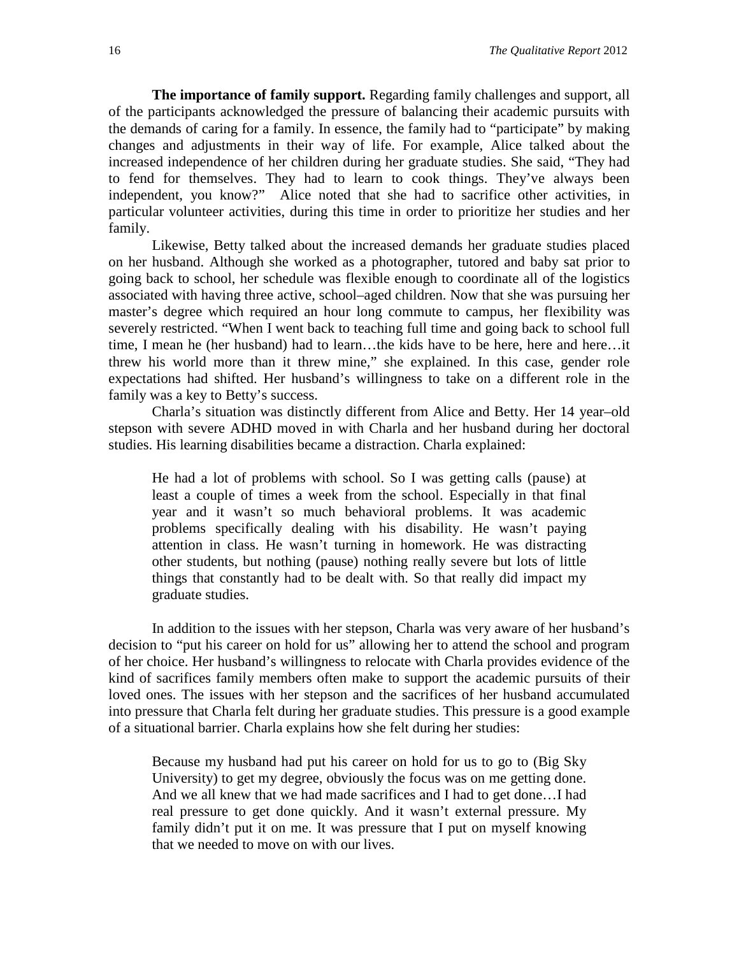**The importance of family support.** Regarding family challenges and support, all of the participants acknowledged the pressure of balancing their academic pursuits with the demands of caring for a family. In essence, the family had to "participate" by making changes and adjustments in their way of life. For example, Alice talked about the increased independence of her children during her graduate studies. She said, "They had to fend for themselves. They had to learn to cook things. They've always been independent, you know?" Alice noted that she had to sacrifice other activities, in particular volunteer activities, during this time in order to prioritize her studies and her family.

Likewise, Betty talked about the increased demands her graduate studies placed on her husband. Although she worked as a photographer, tutored and baby sat prior to going back to school, her schedule was flexible enough to coordinate all of the logistics associated with having three active, school–aged children. Now that she was pursuing her master's degree which required an hour long commute to campus, her flexibility was severely restricted. "When I went back to teaching full time and going back to school full time, I mean he (her husband) had to learn…the kids have to be here, here and here…it threw his world more than it threw mine," she explained. In this case, gender role expectations had shifted. Her husband's willingness to take on a different role in the family was a key to Betty's success.

Charla's situation was distinctly different from Alice and Betty. Her 14 year–old stepson with severe ADHD moved in with Charla and her husband during her doctoral studies. His learning disabilities became a distraction. Charla explained:

He had a lot of problems with school. So I was getting calls (pause) at least a couple of times a week from the school. Especially in that final year and it wasn't so much behavioral problems. It was academic problems specifically dealing with his disability. He wasn't paying attention in class. He wasn't turning in homework. He was distracting other students, but nothing (pause) nothing really severe but lots of little things that constantly had to be dealt with. So that really did impact my graduate studies.

In addition to the issues with her stepson, Charla was very aware of her husband's decision to "put his career on hold for us" allowing her to attend the school and program of her choice. Her husband's willingness to relocate with Charla provides evidence of the kind of sacrifices family members often make to support the academic pursuits of their loved ones. The issues with her stepson and the sacrifices of her husband accumulated into pressure that Charla felt during her graduate studies. This pressure is a good example of a situational barrier. Charla explains how she felt during her studies:

Because my husband had put his career on hold for us to go to (Big Sky University) to get my degree, obviously the focus was on me getting done. And we all knew that we had made sacrifices and I had to get done…I had real pressure to get done quickly. And it wasn't external pressure. My family didn't put it on me. It was pressure that I put on myself knowing that we needed to move on with our lives.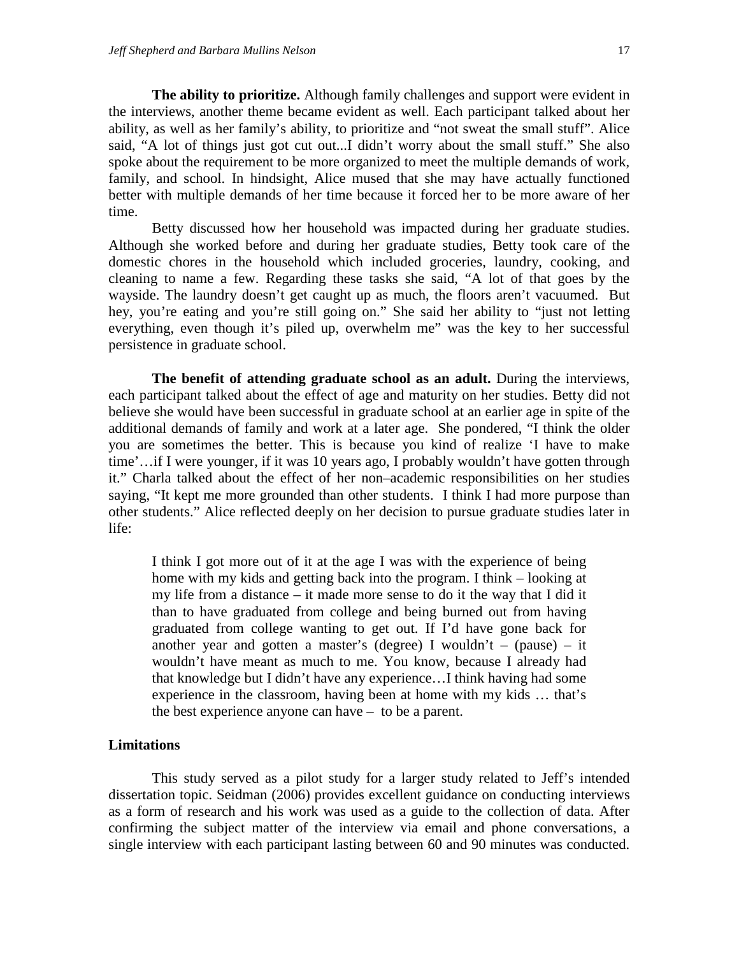**The ability to prioritize.** Although family challenges and support were evident in the interviews, another theme became evident as well. Each participant talked about her ability, as well as her family's ability, to prioritize and "not sweat the small stuff". Alice said, "A lot of things just got cut out...I didn't worry about the small stuff." She also spoke about the requirement to be more organized to meet the multiple demands of work, family, and school. In hindsight, Alice mused that she may have actually functioned better with multiple demands of her time because it forced her to be more aware of her time.

Betty discussed how her household was impacted during her graduate studies. Although she worked before and during her graduate studies, Betty took care of the domestic chores in the household which included groceries, laundry, cooking, and cleaning to name a few. Regarding these tasks she said, "A lot of that goes by the wayside. The laundry doesn't get caught up as much, the floors aren't vacuumed. But hey, you're eating and you're still going on." She said her ability to "just not letting everything, even though it's piled up, overwhelm me" was the key to her successful persistence in graduate school.

**The benefit of attending graduate school as an adult.** During the interviews, each participant talked about the effect of age and maturity on her studies. Betty did not believe she would have been successful in graduate school at an earlier age in spite of the additional demands of family and work at a later age. She pondered, "I think the older you are sometimes the better. This is because you kind of realize 'I have to make time'…if I were younger, if it was 10 years ago, I probably wouldn't have gotten through it." Charla talked about the effect of her non–academic responsibilities on her studies saying, "It kept me more grounded than other students. I think I had more purpose than other students." Alice reflected deeply on her decision to pursue graduate studies later in life:

I think I got more out of it at the age I was with the experience of being home with my kids and getting back into the program. I think – looking at my life from a distance – it made more sense to do it the way that I did it than to have graduated from college and being burned out from having graduated from college wanting to get out. If I'd have gone back for another year and gotten a master's (degree) I wouldn't – (pause) – it wouldn't have meant as much to me. You know, because I already had that knowledge but I didn't have any experience…I think having had some experience in the classroom, having been at home with my kids … that's the best experience anyone can have – to be a parent.

#### **Limitations**

This study served as a pilot study for a larger study related to Jeff's intended dissertation topic. Seidman (2006) provides excellent guidance on conducting interviews as a form of research and his work was used as a guide to the collection of data. After confirming the subject matter of the interview via email and phone conversations, a single interview with each participant lasting between 60 and 90 minutes was conducted.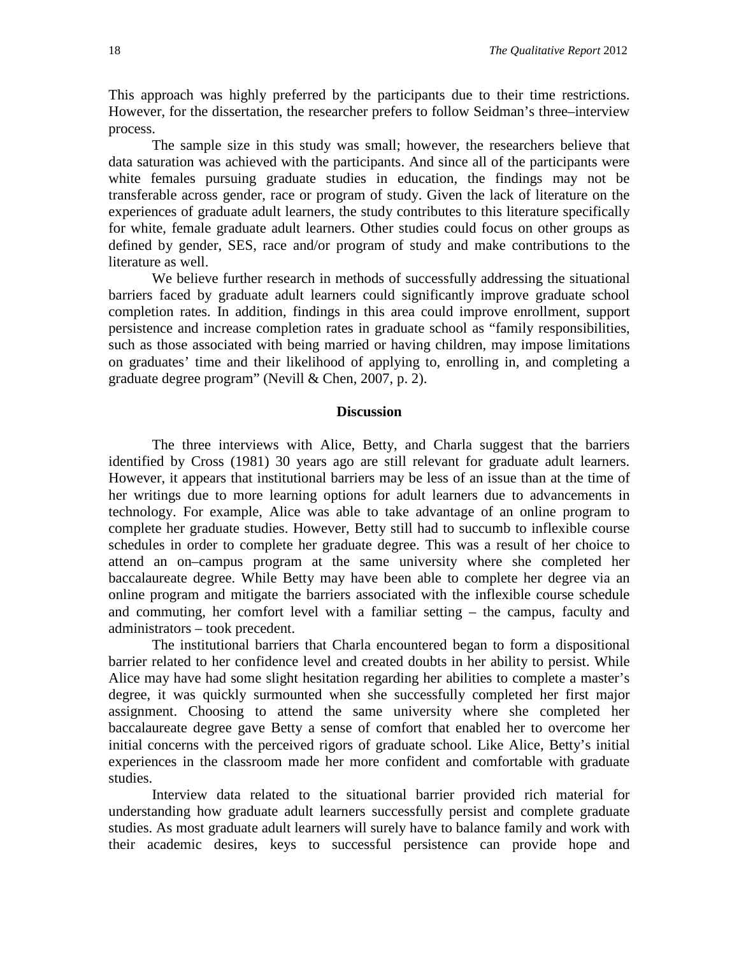This approach was highly preferred by the participants due to their time restrictions. However, for the dissertation, the researcher prefers to follow Seidman's three–interview process.

The sample size in this study was small; however, the researchers believe that data saturation was achieved with the participants. And since all of the participants were white females pursuing graduate studies in education, the findings may not be transferable across gender, race or program of study. Given the lack of literature on the experiences of graduate adult learners, the study contributes to this literature specifically for white, female graduate adult learners. Other studies could focus on other groups as defined by gender, SES, race and/or program of study and make contributions to the literature as well.

We believe further research in methods of successfully addressing the situational barriers faced by graduate adult learners could significantly improve graduate school completion rates. In addition, findings in this area could improve enrollment, support persistence and increase completion rates in graduate school as "family responsibilities, such as those associated with being married or having children, may impose limitations on graduates' time and their likelihood of applying to, enrolling in, and completing a graduate degree program" (Nevill & Chen, 2007, p. 2).

#### **Discussion**

The three interviews with Alice, Betty, and Charla suggest that the barriers identified by Cross (1981) 30 years ago are still relevant for graduate adult learners. However, it appears that institutional barriers may be less of an issue than at the time of her writings due to more learning options for adult learners due to advancements in technology. For example, Alice was able to take advantage of an online program to complete her graduate studies. However, Betty still had to succumb to inflexible course schedules in order to complete her graduate degree. This was a result of her choice to attend an on–campus program at the same university where she completed her baccalaureate degree. While Betty may have been able to complete her degree via an online program and mitigate the barriers associated with the inflexible course schedule and commuting, her comfort level with a familiar setting – the campus, faculty and administrators – took precedent.

The institutional barriers that Charla encountered began to form a dispositional barrier related to her confidence level and created doubts in her ability to persist. While Alice may have had some slight hesitation regarding her abilities to complete a master's degree, it was quickly surmounted when she successfully completed her first major assignment. Choosing to attend the same university where she completed her baccalaureate degree gave Betty a sense of comfort that enabled her to overcome her initial concerns with the perceived rigors of graduate school. Like Alice, Betty's initial experiences in the classroom made her more confident and comfortable with graduate studies.

Interview data related to the situational barrier provided rich material for understanding how graduate adult learners successfully persist and complete graduate studies. As most graduate adult learners will surely have to balance family and work with their academic desires, keys to successful persistence can provide hope and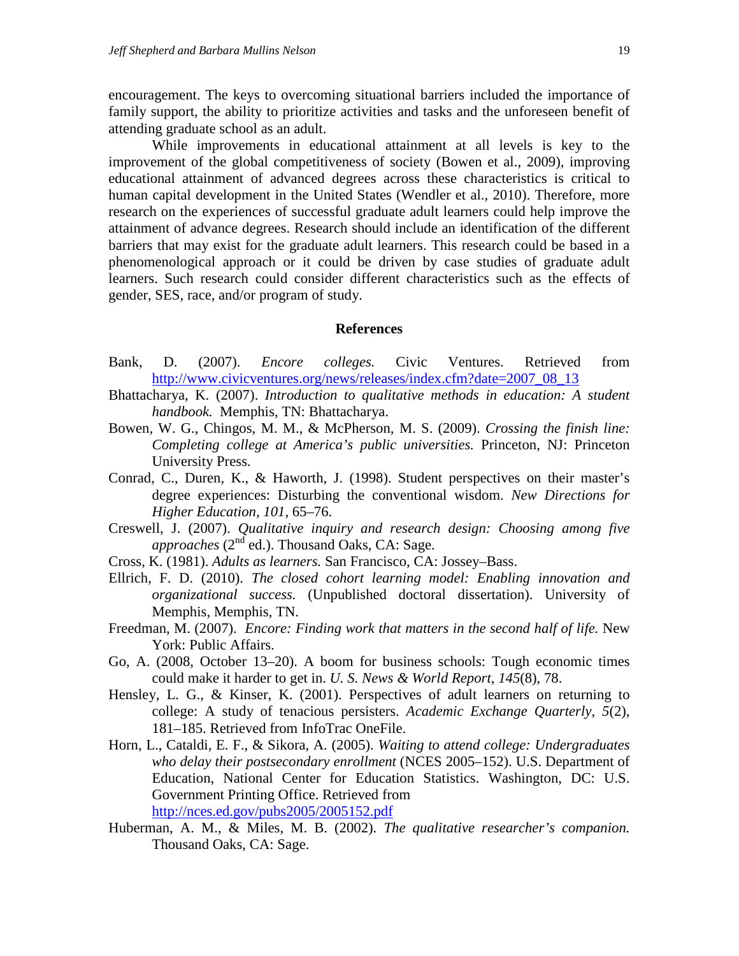encouragement. The keys to overcoming situational barriers included the importance of family support, the ability to prioritize activities and tasks and the unforeseen benefit of attending graduate school as an adult.

While improvements in educational attainment at all levels is key to the improvement of the global competitiveness of society (Bowen et al., 2009), improving educational attainment of advanced degrees across these characteristics is critical to human capital development in the United States (Wendler et al., 2010). Therefore, more research on the experiences of successful graduate adult learners could help improve the attainment of advance degrees. Research should include an identification of the different barriers that may exist for the graduate adult learners. This research could be based in a phenomenological approach or it could be driven by case studies of graduate adult learners. Such research could consider different characteristics such as the effects of gender, SES, race, and/or program of study.

#### **References**

- Bank, D. (2007). *Encore colleges.* Civic Ventures. Retrieved from [http://www.civicventures.org/news/releases/index.cfm?date=2007\\_08\\_13](http://www.civicventures.org/news/releases/index.cfm?date=2007_08_13)
- Bhattacharya, K. (2007). *Introduction to qualitative methods in education: A student handbook.* Memphis, TN: Bhattacharya.
- Bowen, W. G., Chingos, M. M., & McPherson, M. S. (2009). *Crossing the finish line: Completing college at America's public universities.* Princeton, NJ: Princeton University Press.
- Conrad, C., Duren, K., & Haworth, J. (1998). Student perspectives on their master's degree experiences: Disturbing the conventional wisdom. *New Directions for Higher Education, 101,* 65–76.
- Creswell, J. (2007). *Qualitative inquiry and research design: Choosing among five approaches* (2nd ed.). Thousand Oaks, CA: Sage.
- Cross, K. (1981). *Adults as learners.* San Francisco, CA: Jossey–Bass.
- Ellrich, F. D. (2010). *The closed cohort learning model: Enabling innovation and organizational success.* (Unpublished doctoral dissertation). University of Memphis, Memphis, TN.
- Freedman, M. (2007). *Encore: Finding work that matters in the second half of life.* New York: Public Affairs.
- Go, A. (2008, October 13–20). A boom for business schools: Tough economic times could make it harder to get in. *U. S. News & World Report*, *145*(8), 78.
- Hensley, L. G., & Kinser, K. (2001). Perspectives of adult learners on returning to college: A study of tenacious persisters. *Academic Exchange Quarterly*, *5*(2), 181–185. Retrieved from InfoTrac OneFile.
- Horn, L., Cataldi, E. F., & Sikora, A. (2005). *Waiting to attend college: Undergraduates who delay their postsecondary enrollment* (NCES 2005–152). U.S. Department of Education, National Center for Education Statistics. Washington, DC: U.S. Government Printing Office. Retrieved from <http://nces.ed.gov/pubs2005/2005152.pdf>
- Huberman, A. M., & Miles, M. B. (2002). *The qualitative researcher's companion.* Thousand Oaks, CA: Sage.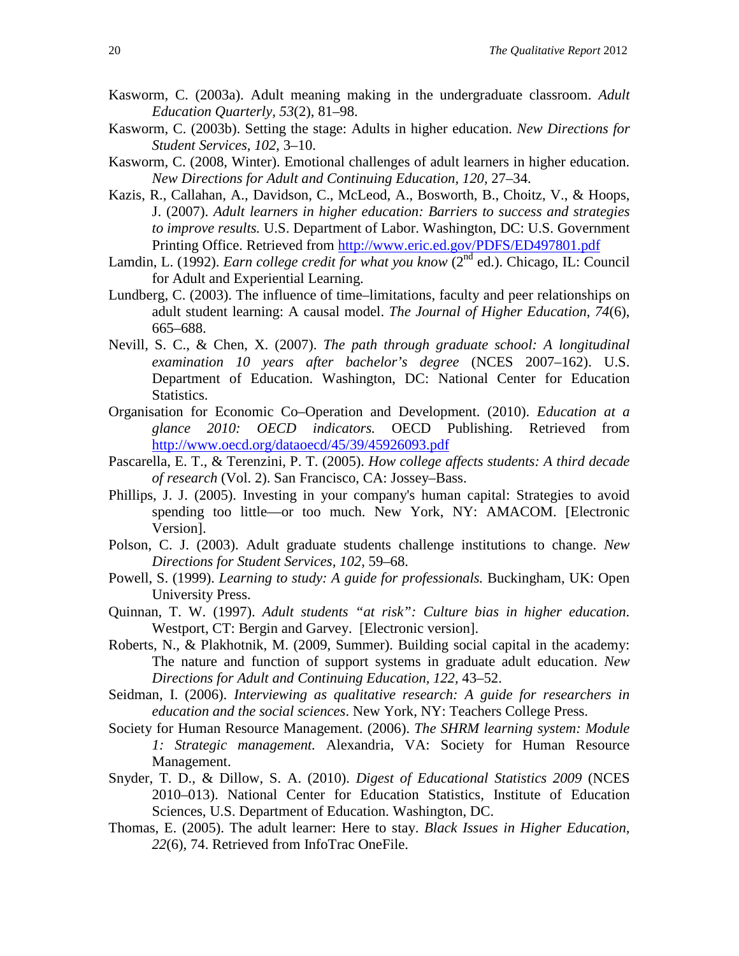- Kasworm, C. (2003a). Adult meaning making in the undergraduate classroom. *Adult Education Quarterly, 53*(2), 81–98.
- Kasworm, C. (2003b). Setting the stage: Adults in higher education. *New Directions for Student Services, 102,* 3–10.
- Kasworm, C. (2008, Winter). Emotional challenges of adult learners in higher education. *New Directions for Adult and Continuing Education, 120,* 27–34.
- Kazis, R., Callahan, A., Davidson, C., McLeod, A., Bosworth, B., Choitz, V., & Hoops, J. (2007). *Adult learners in higher education: Barriers to success and strategies to improve results.* U.S. Department of Labor. Washington, DC: U.S. Government Printing Office. Retrieved from <http://www.eric.ed.gov/PDFS/ED497801.pdf>
- Lamdin, L. (1992). *Earn college credit for what you know* (2<sup>nd</sup> ed.). Chicago, IL: Council for Adult and Experiential Learning.
- Lundberg, C. (2003). The influence of time–limitations, faculty and peer relationships on adult student learning: A causal model. *The Journal of Higher Education, 74*(6), 665–688.
- Nevill, S. C., & Chen, X. (2007). *The path through graduate school: A longitudinal examination 10 years after bachelor's degree* (NCES 2007–162). U.S. Department of Education. Washington, DC: National Center for Education Statistics.
- Organisation for Economic Co–Operation and Development. (2010). *Education at a glance 2010: OECD indicators.* OECD Publishing. Retrieved from <http://www.oecd.org/dataoecd/45/39/45926093.pdf>
- Pascarella, E. T., & Terenzini, P. T. (2005). *How college affects students: A third decade of research* (Vol. 2). San Francisco, CA: Jossey–Bass.
- Phillips, J. J. (2005). Investing in your company's human capital: Strategies to avoid spending too little—or too much. New York, NY: AMACOM. [Electronic Version].
- Polson, C. J. (2003). Adult graduate students challenge institutions to change. *New Directions for Student Services, 102,* 59–68.
- Powell, S. (1999). *Learning to study: A guide for professionals.* Buckingham, UK: Open University Press.
- Quinnan, T. W. (1997). *Adult students "at risk": Culture bias in higher education*. Westport, CT: Bergin and Garvey. [Electronic version].
- Roberts, N., & Plakhotnik, M. (2009, Summer). Building social capital in the academy: The nature and function of support systems in graduate adult education. *New Directions for Adult and Continuing Education, 122,* 43–52.
- Seidman, I. (2006). *Interviewing as qualitative research: A guide for researchers in education and the social sciences*. New York, NY: Teachers College Press.
- Society for Human Resource Management. (2006). *The SHRM learning system: Module 1: Strategic management.* Alexandria, VA: Society for Human Resource Management.
- Snyder, T. D., & Dillow, S. A. (2010). *Digest of Educational Statistics 2009* (NCES 2010–013). National Center for Education Statistics, Institute of Education Sciences, U.S. Department of Education. Washington, DC.
- Thomas, E. (2005). The adult learner: Here to stay. *Black Issues in Higher Education, 22*(6), 74. Retrieved from InfoTrac OneFile.